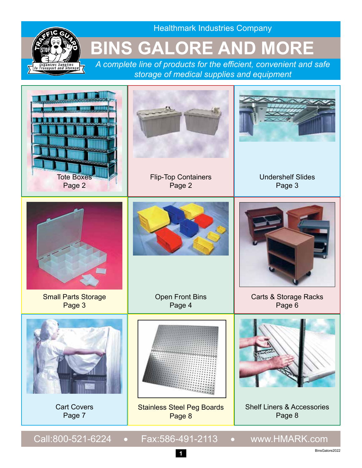

Healthmark Industries Company

### **BINS GALORE AND MORE**

*A complete line of products for the efficient, convenient and safe storage of medical supplies and equipment*

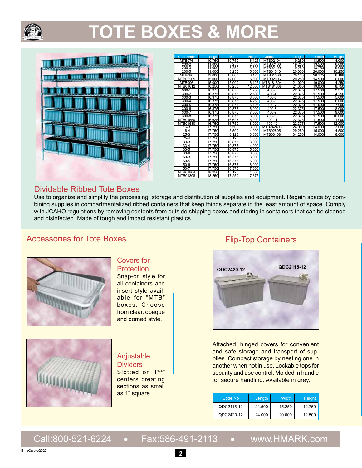

# **TOTE BOXES & MORE**



| <b>CodeNmbr</b> | Length | <b>Width</b> | <b>Height</b> | CodeNmbr  | Length | <b>Width</b> | Height |
|-----------------|--------|--------------|---------------|-----------|--------|--------------|--------|
| <b>MTB076</b>   | 10.750 | 10.750       | 6.125         | MTB02104  | 19.250 | 13.500       | 4.000  |
| $200 - 2$       | 11.000 | 8.250        | 2.500         | MTB02106  | 19.250 | 13.500       | 6.000  |
| $200 - 3$       | 11.000 | 8.250        | 3.500         | MTB02109  | 19.250 | 13.750       | 9.000  |
| $200 - 5$       | 11.000 | 8.250        | 5.000         | MTB01010  | 20.000 | 20.000       | 10.250 |
| <b>MTB086</b>   | 13.000 | 13.000       | 6.125         | MTB01006  | 20.125 | 20.125       | 6.188  |
| MTB02205        | 15.000 | 12.000       | 5.000         | MTB02006  | 20.250 | 14.500       | 6.000  |
| <b>MTB096</b>   | 15.000 | 15.000       | 6.125         | MTB181604 | 21.000 | 19.000       | 4.250  |
| MTB01612        | 16.250 | 16.250       | 12.000        | MTB181608 | 21.000 | 19.000       | 8.750  |
| $300 - 1$       | 16.375 | 10.875       | 1.750         | 400-3     | 22.375 | 17.500       | 3.375  |
| $300 - 2$       | 16.375 | 10.875       | 2.500         | $400 - 4$ | 22.375 | 17.500       | 4.250  |
| $300-3$         | 16.375 | 10.875       | 3.500         | $400 - 5$ | 22.375 | 17.500       | 5.000  |
| $300 - 4$       | 16.375 | 10.875       | 4.250         | $400 - 6$ | 22.375 | 17.500       | 6.000  |
| $300 - 5$       | 16.375 | 10.875       | 5.125         | $400 - 7$ | 22.375 | 17.500       | 7.000  |
| $300 - 6$       | 16.375 | 10.875       | 6.000         | $400 - 8$ | 22.375 | 17.500       | 8.000  |
| $300 - 7$       | 16.375 | 10.875       | 7.000         | $400 - 9$ | 22.375 | 17.500       | 9.000  |
| $300 - 8$       | 16.375 | 10.875       | 8.000         | 400-10    | 22.375 | 17.500       | 10.000 |
| MTB01550        | 16.625 | 16.625       | 5.000         | 400-11    | 22.375 | 17.500       | 11.000 |
| MTB01580        | 16.750 | 16.750       | 8.000         | 400-12    | 22.375 | 17.500       | 12.000 |
| $16-3$          | 17.750 | 5.500        | 3.000         | MTB242403 | 24.000 | 24.000       | 3.000  |
| $16 - 4$        | 17.750 | 5.500        | 4.000         | MTB02805  | 29.250 | 15.000       | 4.500  |
| $25-3$          | 17.750 | 8.125        | 3.000         | MTB03408  | 34.250 | 14.000       | 8.000  |
| $25 - 4$        | 17.750 | 8.125        | 4.000         |           |        |              |        |
| $33 - 3$        | 17.750 | 10.875       | 3.000         |           |        |              |        |
| $33 - 4$        | 17.750 | 10.875       | 4.000         |           |        |              |        |
| $33 - 5$        | 17.750 | 10.875       | 5.000         |           |        |              |        |
| $33-6$          | 17.750 | 10.875       | 6.000         |           |        |              |        |
| $50-3$          | 17.750 | 16.375       | 3.000         |           |        |              |        |
| $50-5$          | 17.750 | 16.375       | 5.000         |           |        |              |        |
| $50 - 6$        | 17.750 | 16.375       | 6.000         |           |        |              |        |
| $50 - 7$        | 17.750 | 16.375       | 7.000         |           |        |              |        |
| MTB01804        | 18.250 | 15.125       | 4.000         |           |        |              |        |
| MTB01308        | 18.250 | 17.250       | 7.375         |           |        |              |        |
|                 |        |              |               |           |        |              |        |
|                 |        |              |               |           |        |              |        |

#### Dividable Ribbed Tote Boxes

Use to organize and simplify the processing, storage and distribution of supplies and equipment. Regain space by combining supplies in compartmentalized ribbed containers that keep things separate in the least amount of space. Comply with JCAHO regulations by removing contents from outside shipping boxes and storing in containers that can be cleaned and disinfected. Made of tough and impact resistant plastics.

#### Accessories for Tote Boxes



#### Covers for **Protection**

Snap-on style for all containers and insert style available for "MTB" boxes. Choose from clear, opaque and domed style.



#### Adjustable

**Dividers** Slotted on 1<sup>1/4"</sup> centers creating sections as small as 1" square.

#### Flip-Top Containers



Attached, hinged covers for convenient and safe storage and transport of supplies. Compact storage by nesting one in another when not in use. Lockable tops for security and use control. Molded in handle for secure handling. Available in grey.

| Code No    | Length | Width  | <b>Height</b> |
|------------|--------|--------|---------------|
| QDC2115-12 | 21.500 | 15.250 | 12.750        |
| QDC2420-12 | 24.000 | 20.000 | 12.500        |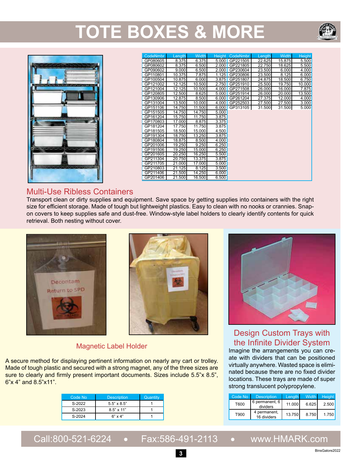## **TOTE BOXES & MORE**





| <b>CodeNmbr</b> | Length              | <b>Width</b> | Height | CodeNmbr | Length | <b>Width</b> | Height |
|-----------------|---------------------|--------------|--------|----------|--------|--------------|--------|
| GP080605        | 8.375               | 6.375        | 5.000  | GP221505 | 22.625 | 15.875       | 5.500  |
| GP080602        | 8.375               | 6.500        | 2.000  | GP221805 | 22.750 | 18.625       | 5.500  |
| GP090602        | 9.000               | 6.500        | 2.000  | GP230604 | 23.500 | 6.000        | 4.000  |
| GP110801        | 10.375              | 7.875        | 1.125  | GP230806 | 23.500 | 8.125        | 6.000  |
| GP100504        | 10.875              | 6.000        | 3.875  | GP251807 | 24.875 | 18.500       | 6.750  |
| GP121002        | 12.125              | 10.500       | 2.750  | GP251910 | 25.500 | 19.750       | 10.000 |
| GP121004        | 12.125              | 10.500       | 4.000  | GP271508 | 26.000 | 16.000       | 7.875  |
| GP120805        | $\overline{12.500}$ | 8.625        | 5.000  | GP251914 | 26.000 | 20.000       | 13.500 |
| GP130906        | 12.875              | 8.500        | 6.000  | GP261204 | 27.375 | 12.000       | 4.000  |
| GP131004        | 13.500              | 10.000       | 4.000  | GP252503 | 27.500 | 27.500       | 3.000  |
| GP151106        | 14.750              | 11.500       | 6.000  | GP313105 | 31.500 | 31.500       | 5.000  |
| GP151505        | 14.750              | 14.750       | 5.000  |          |        |              |        |
| GP161204        | 15.750              | 11.750       | 3.875  |          |        |              |        |
| GP170803        | 17.000              | 8.875        | 3.375  |          |        |              |        |
| GP181204        | 17.750              | 11.750       | 3.875  |          |        |              |        |
| GP181505        | 18.500              | 15.000       | 4.500  |          |        |              |        |
| GP191304        | 18.750              | 13.250       | 3.875  |          |        |              |        |
| GP180804        | 18.875              | 8.500        | 4.000  |          |        |              |        |
| GP201006        | 19.250              | 9.250        | 6.250  |          |        |              |        |
| GP191506        | 19.250              | 15.000       | 6.250  |          |        |              |        |
| GP201605        | 20.250              | 16.250       | 5.500  |          |        |              |        |
| GP211304        | 20.750              | 13.375       | 3.875  |          |        |              |        |
| GP211705        | 21.000              | 17.000       | 5.000  |          |        |              |        |
| GP210803        | 21.125              | 8.125        | 3.500  |          |        |              |        |
| GP211406        | 21.500              | 14.250       | 6.000  |          |        |              |        |
| GP201406        | 21.500              | 16.500       | 6.500  |          |        |              |        |

#### Multi-Use Ribless Containers

Transport clean or dirty supplies and equipment. Save space by getting supplies into containers with the right size for efficient storage. Made of tough but lightweight plastics. Easy to clean with no nooks or crannies. Snapon covers to keep supplies safe and dust-free. Window-style label holders to clearly identify contents for quick retrieval. Both nesting without cover.





#### Magnetic Label Holder

A secure method for displaying pertinent information on nearly any cart or trolley. Made of tough plastic and secured with a strong magnet, any of the three sizes are sure to clearly and firmly present important documents. Sizes include 5.5"x 8.5", 6"x 4" and 8.5"x11".

| Code No. | <b>Description</b> | <b>Quantity</b> |
|----------|--------------------|-----------------|
| S-2022   | $5.5" \times 8.5"$ |                 |
| S-2023   | $8.5" \times 11"$  |                 |
| S-2024   | $6" \times 4"$     |                 |



### Design Custom Trays with the Infinite Divider System

Imagine the arrangements you can create with dividers that can be positioned virtually anywhere. Wasted space is eliminated because there are no fixed divider locations. These trays are made of super strong translucent polypropylene.

| Code No | <b>Description</b>          | Length | Width <sup>1</sup> | <b>Height</b> |
|---------|-----------------------------|--------|--------------------|---------------|
| T600    | 6 permanent, 6<br>dividers  | 11.000 | 6.625              | 2.500         |
| T900    | 4 permanent,<br>16 dividers | 13.750 | 8.750              | 1.750         |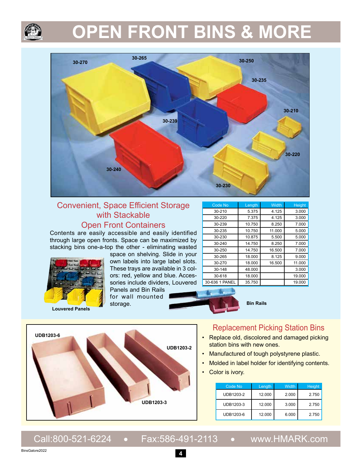## **OPEN FRONT BINS & MORE**



#### Convenient, Space Efficient Storage with Stackable Open Front Containers

Contents are easily accessible and easily identified through large open fronts. Space can be maximized by stacking bins one-a-top the other - eliminating wasted



**Louvered Panels**

space on shelving. Slide in your own labels into large label slots. These trays are available in 3 colors: red, yellow and blue. Accessories include dividers, Louvered Panels and Bin Rails

for wall mounted storage.

| <b>Code No</b> | Length | Width  | <b>Height</b> |
|----------------|--------|--------|---------------|
| 30-210         | 5.375  | 4.125  | 3.000         |
| 30-220         | 7.375  | 4.125  | 3.000         |
| 30-239         | 10.750 | 8.250  | 7.000         |
| 30-235         | 10.750 | 11.000 | 5.000         |
| 30-230         | 10.875 | 5.500  | 5.000         |
| 30-240         | 14.750 | 8.250  | 7.000         |
| 30-250         | 14.750 | 16.500 | 7.000         |
| 30-265         | 18.000 | 8.125  | 9.000         |
| 30-270         | 18.000 | 16.500 | 11.000        |
| 30-148         | 48.000 |        | 3.000         |
| 30-618         | 18.000 |        | 19.000        |
| 30-636 1 PANEL | 35.750 |        | 19.000        |

**Bin Rails**



#### Replacement Picking Station Bins

- Replace old, discolored and damaged picking station bins with new ones.
- Manufactured of tough polystyrene plastic.
- Molded in label holder for identifying contents.
- Color is ivory.

| Code No   | Length | Width | Height |
|-----------|--------|-------|--------|
| UDB1203-2 | 12.000 | 2.000 | 2.750  |
| UDB1203-3 | 12.000 | 3.000 | 2.750  |
| UDB1203-6 | 12.000 | 6.000 | 2.750  |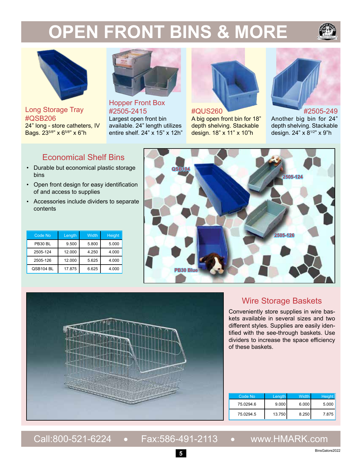# **OPEN FRONT BINS & MORE**





Long Storage Tray #QSB206 24" long - store catheters, IV Bags. 23<sup>5/8"</sup> x 6<sup>5/8"</sup> x 6"h



Hopper Front Box #2505-2415 Largest open front bin available. 24" length utilizes entire shelf. 24" x 15" x 12h"



#### #QUS260

A big open front bin for 18" depth shelving. Stackable design. 18" x 11" x 10"h



#2505-249 Another big bin for 24" depth shelving. Stackable design. 24" x 81/2" x 9"h

#### Economical Shelf Bins

- Durable but economical plastic storage bins
- Open front design for easy identification of and access to supplies
- Accessories include dividers to separate contents

| Code No   | Length | <b>Width</b> | Height |
|-----------|--------|--------------|--------|
| PB30 BL   | 9.500  | 5.800        | 5.000  |
| 2505-124  | 12.000 | 4.250        | 4.000  |
| 2505-126  | 12.000 | 5.625        | 4.000  |
| QSB104 BL | 17.875 | 6.625        | 4.000  |





#### Wire Storage Baskets

Conveniently store supplies in wire baskets available in several sizes and two different styles. Supplies are easily identified with the see-through baskets. Use dividers to increase the space efficiency of these baskets.

| Code No   | Length | <b>Width</b> | Height |
|-----------|--------|--------------|--------|
| 75.0294.6 | 9.000  | 6.000        | 5.000  |
| 75.0294.5 | 13.750 | 8.250        | 7.875  |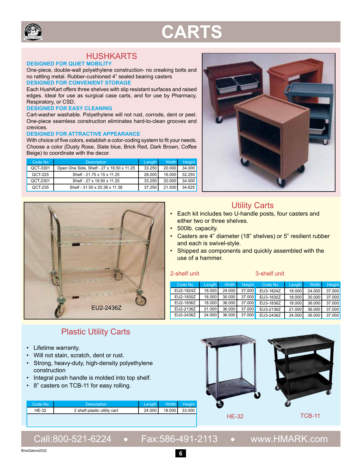

### **CARTS**

### HUSHKARTS

#### **DESIGNED FOR QUIET MOBILITY**

One-piece, double-wall polyethylene construction- no creaking bolts and no rattling metal. Rubber-cushioned 4" sealed bearing casters **DESIGNED FOR CONVENIENT STORAGE**

Each HushKart offers three shelves with slip resistant surfaces and raised edges. Ideal for use as surgical case carts, and for use by Pharmacy, Respiratory, or CSD.

#### **DESIGNED FOR EASY CLEANING**

Cart-washer washable. Polyethylene will not rust, corrode, dent or peel. One-piece seamless construction eliminates hard-to-clean grooves and crevices.

#### **DESIGNED FOR ATTRACTIVE APPEARANCE**

With choice of five colors, establish a color-coding system to fit your needs. Choose a color (Dusty Rose, Slate blue, Brick Red, Dark Brown, Coffee Beige) to coordinate with the decor.

| Code No  | <b>Description</b>                        | Length | <b>Width</b> | Height |
|----------|-------------------------------------------|--------|--------------|--------|
| QCT-3301 | Open One Side, Shelf - 27 x 18.50 x 11.25 | 33.250 | 20,000       | 34.000 |
| QCT-225  | Shelf - 21.75 x 15 x 11.25                | 28,000 | 16.000       | 32.250 |
| QCT-2301 | Shelf - 27 x 19.50 x 11.25                | 33.250 | 20.000       | 34.000 |
| QCT-235  | Shelf - 31.50 x 20.38 x 11.38             | 37.250 | 21.500       | 34.625 |



#### Plastic Utility Carts

- Lifetime warranty.
- Will not stain, scratch, dent or rust.
- Strong, heavy-duty, high-density polyethylene construction
- Integral push handle is molded into top shelf.

**Code No Description** Length Width Height

• 8" casters on TCB-11 for easy rolling.



### Utility Carts

- Each kit includes two U-handle posts, four casters and either two or three shelves.
- 500lb. capacity.
- Casters are 4" diameter (18" shelves) or 5" resilient rubber and each is swivel-style.
- Shipped as components and quickly assembled with the use of a hammer.

#### 2-shelf unit 3-shelf unit

| Code No   | Lenath | <b>Width</b> | <b>Height</b> | Code No   | Length | <b>Width</b> | <b>Height</b> |
|-----------|--------|--------------|---------------|-----------|--------|--------------|---------------|
| EU2-1824Z | 18.000 | 24.000       | 37.000        | EU3-1824Z | 18.000 | 24.000       | 37.000        |
| EU2-1830Z | 18.000 | 30.000       | 37.000        | EU3-1830Z | 18,000 | 30.000       | 37,000        |
| EU2-1836Z | 18.000 | 36.000       | 37.000        | EU3-1836Z | 18,000 | 36.000       | 37,000        |
| EU2-2136Z | 21.000 | 36.000       | 37.000        | EU3-2136Z | 21.000 | 36.000       | 37,000        |
| EU2-2436Z | 24.000 | 36.000       | 37.000        | EU3-2436Z | 24.000 | 36.000       | 37.000        |



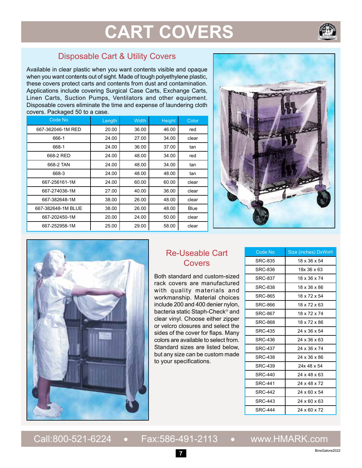### **CART COVERS**



Available in clear plastic when you want contents visible and opaque when you want contents out of sight. Made of tough polyethylene plastic, these covers protect carts and contents from dust and contamination. Applications include covering Surgical Case Carts, Exchange Carts, Linen Carts, Suction Pumps, Ventilators and other equipment. Disposable covers eliminate the time and expense of laundering cloth covers. Packaged 50 to a case.

| Code No            | Length | <b>Width</b> | Height | Color |
|--------------------|--------|--------------|--------|-------|
| 667-362046-1M RED  | 20.00  | 36.00        | 46.00  | red   |
| 666-1              | 24.00  | 27.00        | 34.00  | clear |
| 668-1              | 24.00  | 36.00        | 37.00  | tan   |
| 668-2 RED          | 24.00  | 48.00        | 34.00  | red   |
| 668-2 TAN          | 24.00  | 48.00        | 34.00  | tan   |
| 668-3              | 24.00  | 48.00        | 48.00  | tan   |
| 667-256161-1M      | 24.00  | 60.00        | 60.00  | clear |
| 667-274036-1M      | 27.00  | 40.00        | 36.00  | clear |
| 667-382648-1M      | 38.00  | 26.00        | 48.00  | clear |
| 667-382648-1M BLUE | 38.00  | 26.00        | 48.00  | Blue  |
| 667-202450-1M      | 20.00  | 24.00        | 50.00  | clear |
| 667-252958-1M      | 25.00  | 29.00        | 58.00  | clear |





#### Re-Useable Cart Covers

Both standard and custom-sized rack covers are manufactured with quality materials and workmanship. Material choices include 200 and 400 denier nylon, bacteria static Staph-Check<sup>®</sup> and clear vinyl. Choose either zipper or velcro closures and select the sides of the cover for flaps. Many colors are available to select from. Standard sizes are listed below, but any size can be custom made to your specifications.

| Code No        | Size (inches) DxWxH      |
|----------------|--------------------------|
| <b>SRC-835</b> | 18 x 36 x 54             |
| SRC-836        | 18x 36 x 63              |
| <b>SRC-837</b> | 18 x 36 x 74             |
| SRC-838        | 18 x 36 x 86             |
| <b>SRC-865</b> | 18 x 72 x 54             |
| SRC-866        | 18 x 72 x 63             |
| <b>SRC-867</b> | 18 x 72 x 74             |
| <b>SRC-868</b> | 18 x 72 x 86             |
| <b>SRC-435</b> | 24 x 36 x 54             |
| <b>SRC-436</b> | 24 x 36 x 63             |
| <b>SRC-437</b> | 24 x 36 x 74             |
| <b>SRC-438</b> | 24 x 36 x 86             |
| <b>SRC-439</b> | 24x 48 x 54              |
| <b>SRC-440</b> | 24 x 48 x 63             |
| <b>SRC-441</b> | 24 x 48 x 72             |
| <b>SRC-442</b> | 24 x 60 x 54             |
| SRC-443        | $24 \times 60 \times 63$ |
| <b>SRC-444</b> | 24 x 60 x 72             |